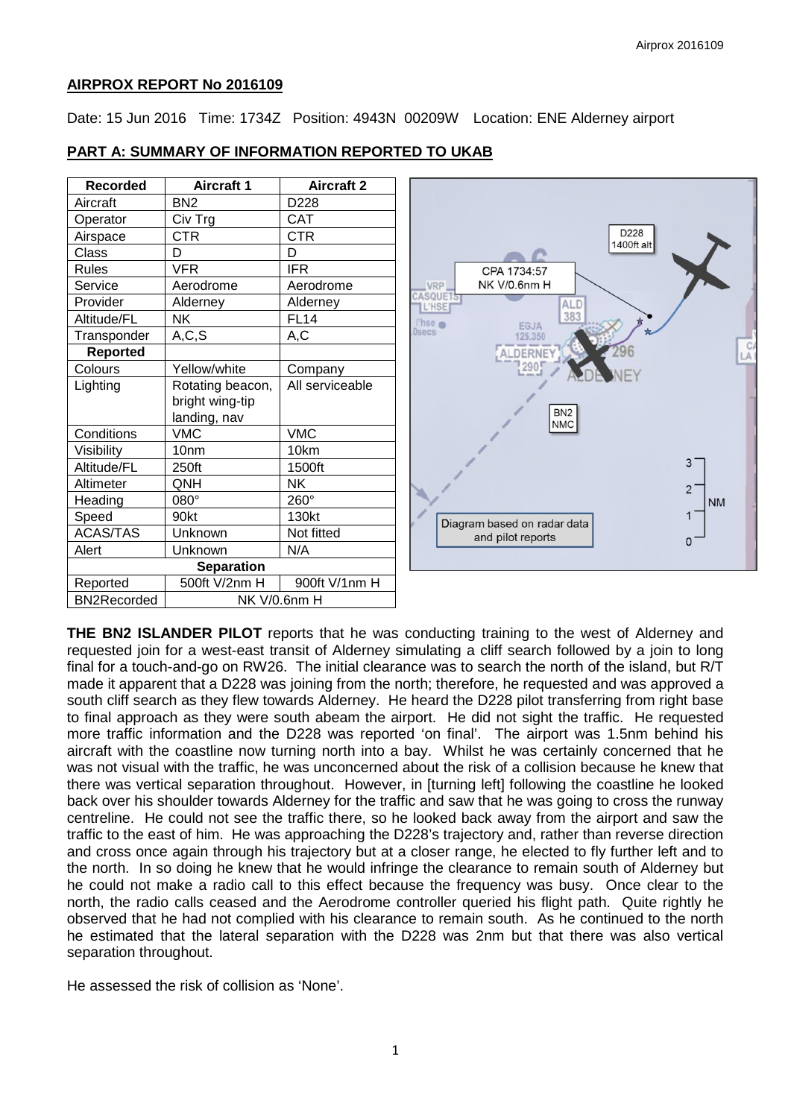### **AIRPROX REPORT No 2016109**

Date: 15 Jun 2016 Time: 1734Z Position: 4943N 00209W Location: ENE Alderney airport

# **PART A: SUMMARY OF INFORMATION REPORTED TO UKAB**

| <b>Recorded</b>    | <b>Aircraft 1</b> | <b>Aircraft 2</b> |
|--------------------|-------------------|-------------------|
| Aircraft           | BN <sub>2</sub>   | D228              |
| Operator           | Civ Trg           | CAT               |
| Airspace           | CTR               | CTR               |
| Class              | D                 | D                 |
| <b>Rules</b>       | <b>VFR</b>        | <b>IFR</b>        |
| Service            | Aerodrome         | Aerodrome         |
| Provider           | Alderney          | Alderney          |
| Altitude/FL        | ΝK                | <b>FL14</b>       |
| Transponder        | A, C, S           | A,C               |
| <b>Reported</b>    |                   |                   |
| Colours            | Yellow/white      | Company           |
| Lighting           | Rotating beacon,  | All serviceable   |
|                    | bright wing-tip   |                   |
|                    | landing, nav      |                   |
| Conditions         | <b>VMC</b>        | <b>VMC</b>        |
| Visibility         | 10 <sub>nm</sub>  | 10km              |
| Altitude/FL        | 250ft             | 1500ft            |
| Altimeter          | QNH               | ΝK                |
| Heading            | 080°              | 260°              |
| Speed              | 90kt              | 130kt             |
| <b>ACAS/TAS</b>    | Unknown           | Not fitted        |
| Alert              | Unknown           | N/A               |
| <b>Separation</b>  |                   |                   |
| Reported           | 500ft V/2nm H     | 900ft V/1nm H     |
| <b>BN2Recorded</b> | NK V/0.6nm H      |                   |



**THE BN2 ISLANDER PILOT** reports that he was conducting training to the west of Alderney and requested join for a west-east transit of Alderney simulating a cliff search followed by a join to long final for a touch-and-go on RW26. The initial clearance was to search the north of the island, but R/T made it apparent that a D228 was joining from the north; therefore, he requested and was approved a south cliff search as they flew towards Alderney. He heard the D228 pilot transferring from right base to final approach as they were south abeam the airport. He did not sight the traffic. He requested more traffic information and the D228 was reported 'on final'. The airport was 1.5nm behind his aircraft with the coastline now turning north into a bay. Whilst he was certainly concerned that he was not visual with the traffic, he was unconcerned about the risk of a collision because he knew that there was vertical separation throughout. However, in [turning left] following the coastline he looked back over his shoulder towards Alderney for the traffic and saw that he was going to cross the runway centreline. He could not see the traffic there, so he looked back away from the airport and saw the traffic to the east of him. He was approaching the D228's trajectory and, rather than reverse direction and cross once again through his trajectory but at a closer range, he elected to fly further left and to the north. In so doing he knew that he would infringe the clearance to remain south of Alderney but he could not make a radio call to this effect because the frequency was busy. Once clear to the north, the radio calls ceased and the Aerodrome controller queried his flight path. Quite rightly he observed that he had not complied with his clearance to remain south. As he continued to the north he estimated that the lateral separation with the D228 was 2nm but that there was also vertical separation throughout.

He assessed the risk of collision as 'None'.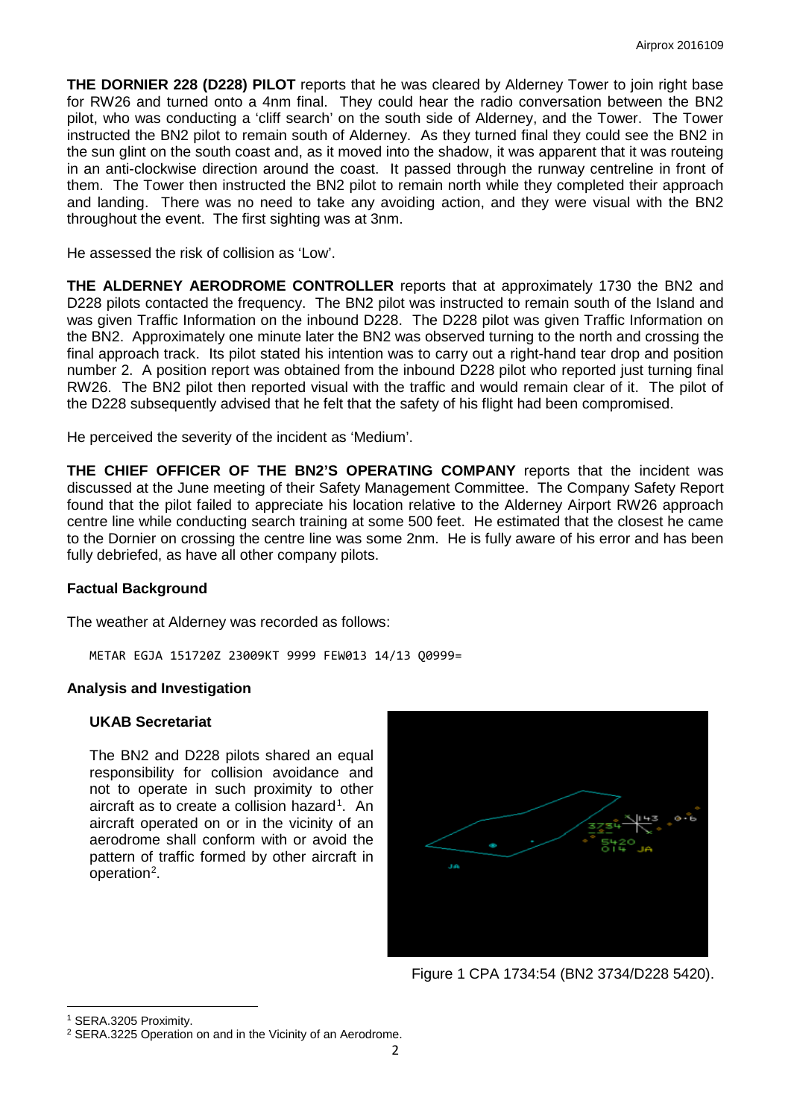**THE DORNIER 228 (D228) PILOT** reports that he was cleared by Alderney Tower to join right base for RW26 and turned onto a 4nm final. They could hear the radio conversation between the BN2 pilot, who was conducting a 'cliff search' on the south side of Alderney, and the Tower. The Tower instructed the BN2 pilot to remain south of Alderney. As they turned final they could see the BN2 in the sun glint on the south coast and, as it moved into the shadow, it was apparent that it was routeing in an anti-clockwise direction around the coast. It passed through the runway centreline in front of them. The Tower then instructed the BN2 pilot to remain north while they completed their approach and landing. There was no need to take any avoiding action, and they were visual with the BN2 throughout the event. The first sighting was at 3nm.

He assessed the risk of collision as 'Low'.

**THE ALDERNEY AERODROME CONTROLLER** reports that at approximately 1730 the BN2 and D228 pilots contacted the frequency. The BN2 pilot was instructed to remain south of the Island and was given Traffic Information on the inbound D228. The D228 pilot was given Traffic Information on the BN2. Approximately one minute later the BN2 was observed turning to the north and crossing the final approach track. Its pilot stated his intention was to carry out a right-hand tear drop and position number 2. A position report was obtained from the inbound D228 pilot who reported just turning final RW26. The BN2 pilot then reported visual with the traffic and would remain clear of it. The pilot of the D228 subsequently advised that he felt that the safety of his flight had been compromised.

He perceived the severity of the incident as 'Medium'.

**THE CHIEF OFFICER OF THE BN2'S OPERATING COMPANY** reports that the incident was discussed at the June meeting of their Safety Management Committee. The Company Safety Report found that the pilot failed to appreciate his location relative to the Alderney Airport RW26 approach centre line while conducting search training at some 500 feet. He estimated that the closest he came to the Dornier on crossing the centre line was some 2nm. He is fully aware of his error and has been fully debriefed, as have all other company pilots.

#### **Factual Background**

The weather at Alderney was recorded as follows:

METAR EGJA 151720Z 23009KT 9999 FEW013 14/13 Q0999=

#### **Analysis and Investigation**

#### **UKAB Secretariat**

The BN2 and D228 pilots shared an equal responsibility for collision avoidance and not to operate in such proximity to other aircraft as to create a collision hazard<sup>[1](#page-1-0)</sup>. An aircraft operated on or in the vicinity of an aerodrome shall conform with or avoid the pattern of traffic formed by other aircraft in operation<sup>[2](#page-1-1)</sup>.



Figure 1 CPA 1734:54 (BN2 3734/D228 5420).

l

<span id="page-1-0"></span><sup>1</sup> SERA.3205 Proximity.

<span id="page-1-1"></span><sup>2</sup> SERA.3225 Operation on and in the Vicinity of an Aerodrome.